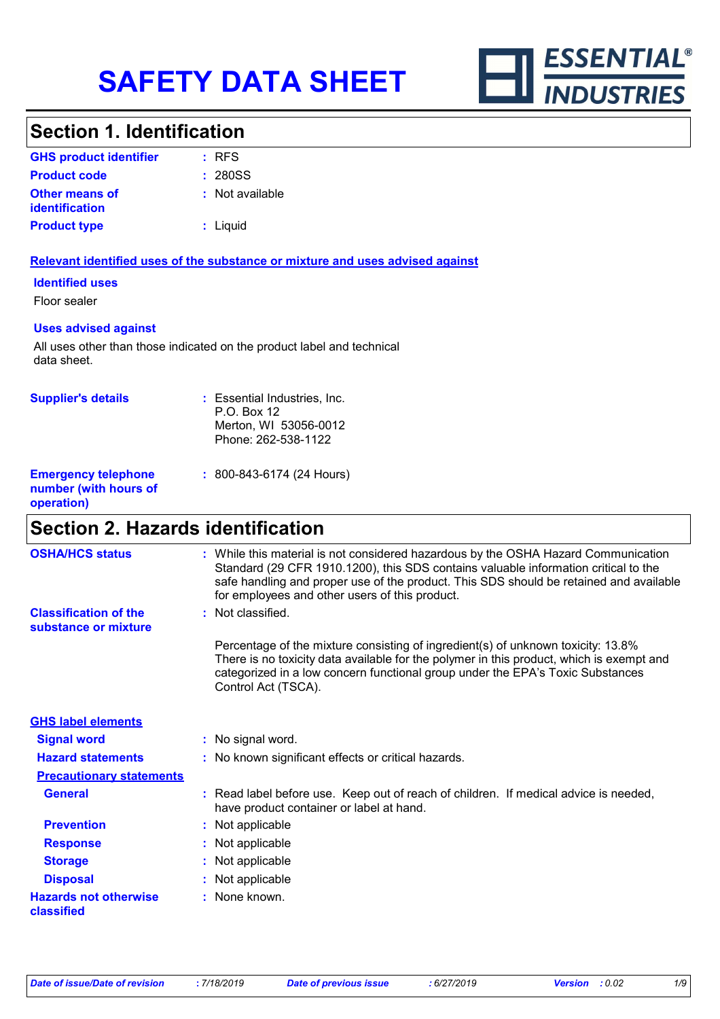

### **Section 1. Identification**

| <b>GHS product identifier</b>                  | $:$ RFS         |
|------------------------------------------------|-----------------|
| <b>Product code</b>                            | : 280SS         |
| <b>Other means of</b><br><i>identification</i> | : Not available |
| <b>Product type</b>                            | $:$ Liquid      |

### **Relevant identified uses of the substance or mixture and uses advised against**

**Identified uses**

Floor sealer

#### **Uses advised against**

All uses other than those indicated on the product label and technical data sheet.

| <b>Supplier's details</b>                                         | : Essential Industries, Inc.<br>$P.O.$ Box 12<br>Merton, WI 53056-0012<br>Phone: 262-538-1122 |
|-------------------------------------------------------------------|-----------------------------------------------------------------------------------------------|
| <b>Emergency telephone</b><br>number (with hours of<br>operation) | $: 800 - 843 - 6174 (24$ Hours)                                                               |

# **Section 2. Hazards identification**

| <b>OSHA/HCS status</b>                               | : While this material is not considered hazardous by the OSHA Hazard Communication<br>Standard (29 CFR 1910.1200), this SDS contains valuable information critical to the<br>safe handling and proper use of the product. This SDS should be retained and available<br>for employees and other users of this product. |
|------------------------------------------------------|-----------------------------------------------------------------------------------------------------------------------------------------------------------------------------------------------------------------------------------------------------------------------------------------------------------------------|
| <b>Classification of the</b><br>substance or mixture | : Not classified.                                                                                                                                                                                                                                                                                                     |
|                                                      | Percentage of the mixture consisting of ingredient(s) of unknown toxicity: 13.8%<br>There is no toxicity data available for the polymer in this product, which is exempt and<br>categorized in a low concern functional group under the EPA's Toxic Substances<br>Control Act (TSCA).                                 |
| <b>GHS label elements</b>                            |                                                                                                                                                                                                                                                                                                                       |
| <b>Signal word</b>                                   | : No signal word.                                                                                                                                                                                                                                                                                                     |
| <b>Hazard statements</b>                             | : No known significant effects or critical hazards.                                                                                                                                                                                                                                                                   |
| <b>Precautionary statements</b>                      |                                                                                                                                                                                                                                                                                                                       |
| <b>General</b>                                       | : Read label before use. Keep out of reach of children. If medical advice is needed,<br>have product container or label at hand.                                                                                                                                                                                      |
| <b>Prevention</b>                                    | : Not applicable                                                                                                                                                                                                                                                                                                      |
| <b>Response</b>                                      | : Not applicable                                                                                                                                                                                                                                                                                                      |
| <b>Storage</b>                                       | : Not applicable                                                                                                                                                                                                                                                                                                      |
| <b>Disposal</b>                                      | : Not applicable                                                                                                                                                                                                                                                                                                      |
| <b>Hazards not otherwise</b><br>classified           | : None known.                                                                                                                                                                                                                                                                                                         |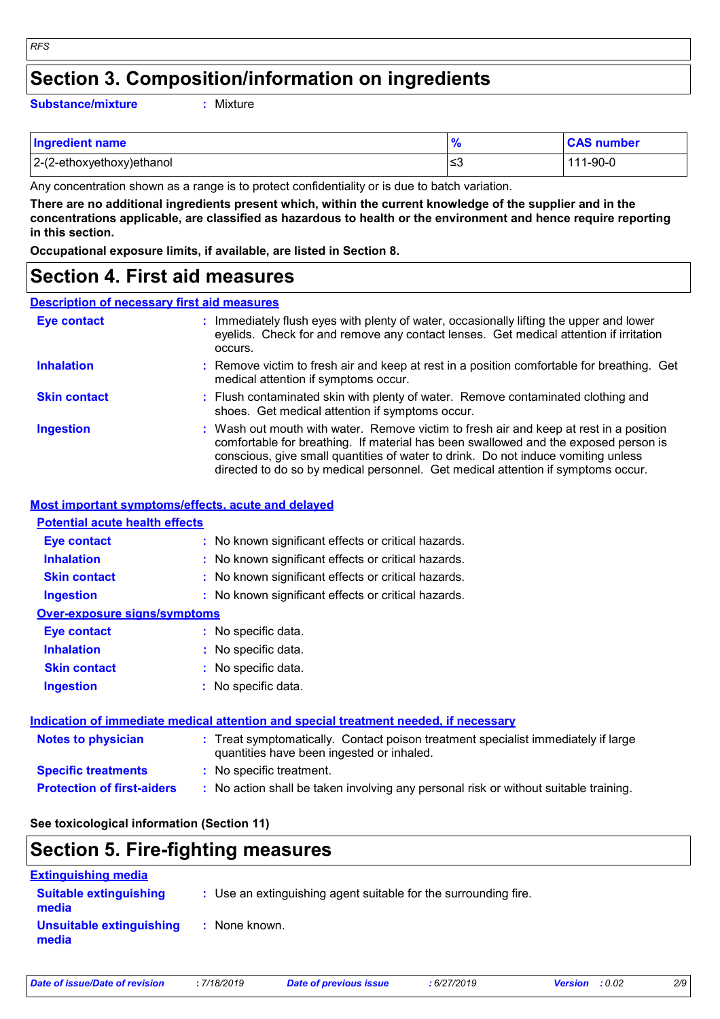### **Section 3. Composition/information on ingredients**

**Substance/mixture :**

: Mixture

| <b>Ingredient name</b>    | $\frac{9}{6}$ | <b>CAS number</b> |
|---------------------------|---------------|-------------------|
| 2-(2-ethoxyethoxy)ethanol | ∣≤3           | 111-90-0          |

Any concentration shown as a range is to protect confidentiality or is due to batch variation.

**There are no additional ingredients present which, within the current knowledge of the supplier and in the concentrations applicable, are classified as hazardous to health or the environment and hence require reporting in this section.**

**Occupational exposure limits, if available, are listed in Section 8.**

### **Section 4. First aid measures**

### **Description of necessary first aid measures**

| <b>Eye contact</b>  | : Immediately flush eyes with plenty of water, occasionally lifting the upper and lower<br>eyelids. Check for and remove any contact lenses. Get medical attention if irritation<br>occurs.                                                                                                                                                            |
|---------------------|--------------------------------------------------------------------------------------------------------------------------------------------------------------------------------------------------------------------------------------------------------------------------------------------------------------------------------------------------------|
| <b>Inhalation</b>   | : Remove victim to fresh air and keep at rest in a position comfortable for breathing. Get<br>medical attention if symptoms occur.                                                                                                                                                                                                                     |
| <b>Skin contact</b> | : Flush contaminated skin with plenty of water. Remove contaminated clothing and<br>shoes. Get medical attention if symptoms occur.                                                                                                                                                                                                                    |
| <b>Ingestion</b>    | : Wash out mouth with water. Remove victim to fresh air and keep at rest in a position<br>comfortable for breathing. If material has been swallowed and the exposed person is<br>conscious, give small quantities of water to drink. Do not induce vomiting unless<br>directed to do so by medical personnel. Get medical attention if symptoms occur. |

#### **Most important symptoms/effects, acute and delayed**

### **Notes to physician :** Treat symptomatically. Contact poison treatment specialist immediately if large **Inhalation :** No known significant effects or critical hazards. **Ingestion :** No known significant effects or critical hazards. **Skin contact :** No known significant effects or critical hazards. **Eye contact :** No known significant effects or critical hazards. **Over-exposure signs/symptoms Skin contact Ingestion Inhalation :** No specific data. No specific data. **:** No specific data. **: Eye contact :** No specific data. **Potential acute health effects Indication of immediate medical attention and special treatment needed, if necessary**

| Notes to physician                | $\,$ . Treat symptomatically. Contact poison treatment specialist immediately if large<br>quantities have been ingested or inhaled. |
|-----------------------------------|-------------------------------------------------------------------------------------------------------------------------------------|
| <b>Specific treatments</b>        | : No specific treatment.                                                                                                            |
| <b>Protection of first-aiders</b> | : No action shall be taken involving any personal risk or without suitable training.                                                |

### **See toxicological information (Section 11)**

# **Section 5. Fire-fighting measures**

| <b>Extinguishing media</b>             |                                                                 |
|----------------------------------------|-----------------------------------------------------------------|
| <b>Suitable extinguishing</b><br>media | : Use an extinguishing agent suitable for the surrounding fire. |
| Unsuitable extinguishing<br>media      | : None known.                                                   |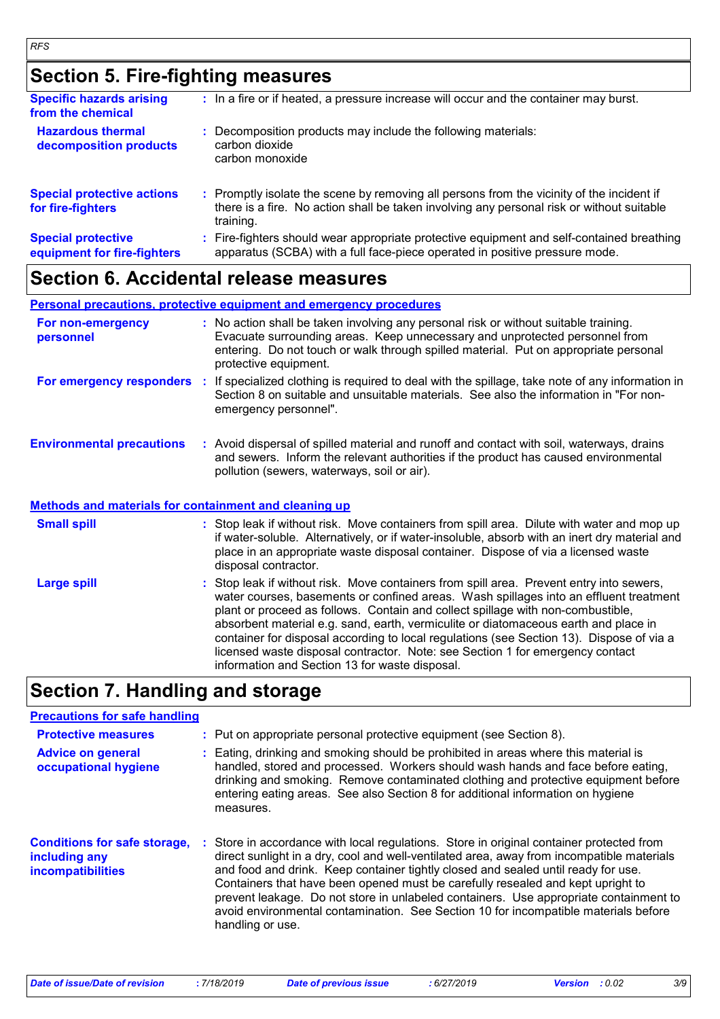# **Section 5. Fire-fighting measures**

| <b>Specific hazards arising</b><br>from the chemical     | : In a fire or if heated, a pressure increase will occur and the container may burst.                                                                                                             |
|----------------------------------------------------------|---------------------------------------------------------------------------------------------------------------------------------------------------------------------------------------------------|
| <b>Hazardous thermal</b><br>decomposition products       | Decomposition products may include the following materials:<br>carbon dioxide<br>carbon monoxide                                                                                                  |
| <b>Special protective actions</b><br>for fire-fighters   | Promptly isolate the scene by removing all persons from the vicinity of the incident if<br>there is a fire. No action shall be taken involving any personal risk or without suitable<br>training. |
| <b>Special protective</b><br>equipment for fire-fighters | Fire-fighters should wear appropriate protective equipment and self-contained breathing<br>apparatus (SCBA) with a full face-piece operated in positive pressure mode.                            |

### **Section 6. Accidental release measures**

**Personal precautions, protective equipment and emergency procedures**

| For non-emergency<br>personnel                               |   | : No action shall be taken involving any personal risk or without suitable training.<br>Evacuate surrounding areas. Keep unnecessary and unprotected personnel from<br>entering. Do not touch or walk through spilled material. Put on appropriate personal<br>protective equipment.                                                                        |  |
|--------------------------------------------------------------|---|-------------------------------------------------------------------------------------------------------------------------------------------------------------------------------------------------------------------------------------------------------------------------------------------------------------------------------------------------------------|--|
| For emergency responders                                     | ÷ | If specialized clothing is required to deal with the spillage, take note of any information in<br>Section 8 on suitable and unsuitable materials. See also the information in "For non-<br>emergency personnel".                                                                                                                                            |  |
| <b>Environmental precautions</b>                             |   | : Avoid dispersal of spilled material and runoff and contact with soil, waterways, drains<br>and sewers. Inform the relevant authorities if the product has caused environmental<br>pollution (sewers, waterways, soil or air).                                                                                                                             |  |
| <b>Methods and materials for containment and cleaning up</b> |   |                                                                                                                                                                                                                                                                                                                                                             |  |
| <b>Small spill</b>                                           |   | : Stop leak if without risk. Move containers from spill area. Dilute with water and mop up<br>if water-soluble. Alternatively, or if water-insoluble, absorb with an inert dry material and<br>place in an appropriate waste disposal container. Dispose of via a licensed waste<br>disposal contractor.                                                    |  |
| <b>Large spill</b>                                           |   | : Stop leak if without risk. Move containers from spill area. Prevent entry into sewers,<br>water courses, basements or confined areas. Wash spillages into an effluent treatment<br>plant or proceed as follows. Contain and collect spillage with non-combustible,<br>absorbent material e.g. sand, earth, vermiculite or diatomaceous earth and place in |  |

# **Section 7. Handling and storage**

### **Precautions for safe handling**

| <b>Protective measures</b><br><b>Advice on general</b><br>occupational hygiene | : Put on appropriate personal protective equipment (see Section 8).<br>Eating, drinking and smoking should be prohibited in areas where this material is<br>handled, stored and processed. Workers should wash hands and face before eating,<br>drinking and smoking. Remove contaminated clothing and protective equipment before<br>entering eating areas. See also Section 8 for additional information on hygiene<br>measures.                                                                                                                              |
|--------------------------------------------------------------------------------|-----------------------------------------------------------------------------------------------------------------------------------------------------------------------------------------------------------------------------------------------------------------------------------------------------------------------------------------------------------------------------------------------------------------------------------------------------------------------------------------------------------------------------------------------------------------|
| <b>Conditions for safe storage,</b><br>including any<br>incompatibilities      | Store in accordance with local regulations. Store in original container protected from<br>direct sunlight in a dry, cool and well-ventilated area, away from incompatible materials<br>and food and drink. Keep container tightly closed and sealed until ready for use.<br>Containers that have been opened must be carefully resealed and kept upright to<br>prevent leakage. Do not store in unlabeled containers. Use appropriate containment to<br>avoid environmental contamination. See Section 10 for incompatible materials before<br>handling or use. |

information and Section 13 for waste disposal.

container for disposal according to local regulations (see Section 13). Dispose of via a licensed waste disposal contractor. Note: see Section 1 for emergency contact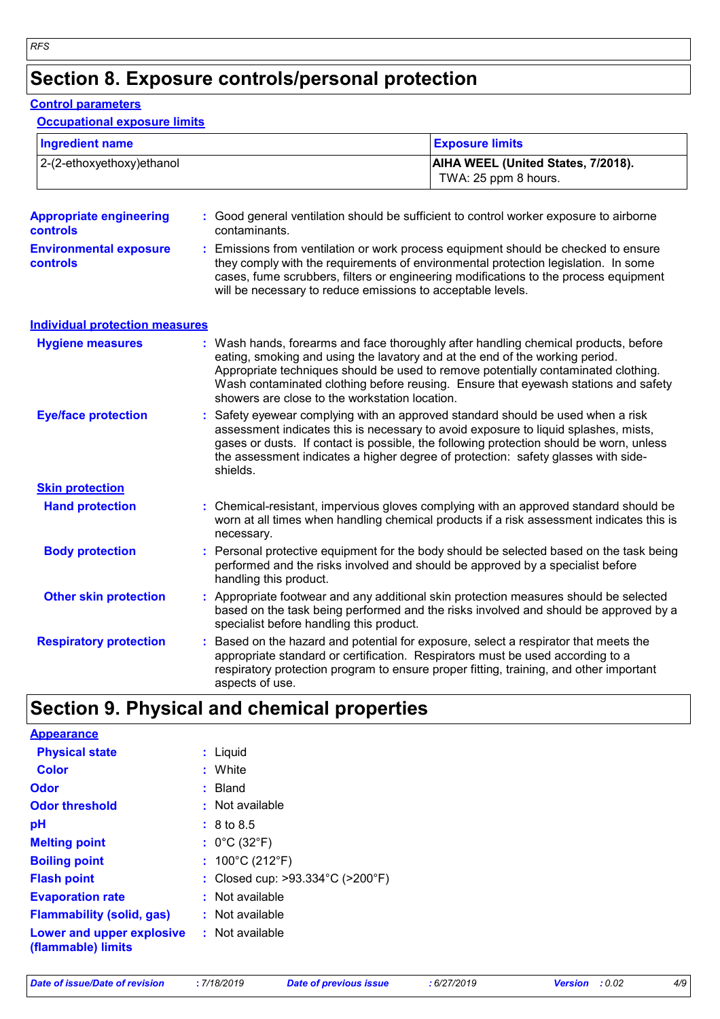# **Section 8. Exposure controls/personal protection**

### **Control parameters**

### **Occupational exposure limits**

| <b>Ingredient name</b><br>2-(2-ethoxyethoxy)ethanol |    |                                                                                                                                                                                                                                                                                                                                                                  | <b>Exposure limits</b>                                                                                                                                                                                                                                          |  |
|-----------------------------------------------------|----|------------------------------------------------------------------------------------------------------------------------------------------------------------------------------------------------------------------------------------------------------------------------------------------------------------------------------------------------------------------|-----------------------------------------------------------------------------------------------------------------------------------------------------------------------------------------------------------------------------------------------------------------|--|
|                                                     |    |                                                                                                                                                                                                                                                                                                                                                                  | AIHA WEEL (United States, 7/2018).<br>TWA: 25 ppm 8 hours.                                                                                                                                                                                                      |  |
| <b>Appropriate engineering</b><br>controls          |    | contaminants.                                                                                                                                                                                                                                                                                                                                                    | : Good general ventilation should be sufficient to control worker exposure to airborne                                                                                                                                                                          |  |
| <b>Environmental exposure</b><br><b>controls</b>    | ÷. | Emissions from ventilation or work process equipment should be checked to ensure<br>they comply with the requirements of environmental protection legislation. In some<br>cases, fume scrubbers, filters or engineering modifications to the process equipment<br>will be necessary to reduce emissions to acceptable levels.                                    |                                                                                                                                                                                                                                                                 |  |
| <b>Individual protection measures</b>               |    |                                                                                                                                                                                                                                                                                                                                                                  |                                                                                                                                                                                                                                                                 |  |
| <b>Hygiene measures</b>                             |    | eating, smoking and using the lavatory and at the end of the working period.<br>showers are close to the workstation location.                                                                                                                                                                                                                                   | : Wash hands, forearms and face thoroughly after handling chemical products, before<br>Appropriate techniques should be used to remove potentially contaminated clothing.<br>Wash contaminated clothing before reusing. Ensure that eyewash stations and safety |  |
| <b>Eye/face protection</b>                          | ÷. | Safety eyewear complying with an approved standard should be used when a risk<br>assessment indicates this is necessary to avoid exposure to liquid splashes, mists,<br>gases or dusts. If contact is possible, the following protection should be worn, unless<br>the assessment indicates a higher degree of protection: safety glasses with side-<br>shields. |                                                                                                                                                                                                                                                                 |  |
| <b>Skin protection</b>                              |    |                                                                                                                                                                                                                                                                                                                                                                  |                                                                                                                                                                                                                                                                 |  |
| <b>Hand protection</b>                              |    | : Chemical-resistant, impervious gloves complying with an approved standard should be<br>worn at all times when handling chemical products if a risk assessment indicates this is<br>necessary.                                                                                                                                                                  |                                                                                                                                                                                                                                                                 |  |
| <b>Body protection</b>                              | ÷. | Personal protective equipment for the body should be selected based on the task being<br>performed and the risks involved and should be approved by a specialist before<br>handling this product.                                                                                                                                                                |                                                                                                                                                                                                                                                                 |  |
| <b>Other skin protection</b>                        |    | : Appropriate footwear and any additional skin protection measures should be selected<br>based on the task being performed and the risks involved and should be approved by a<br>specialist before handling this product.                                                                                                                                        |                                                                                                                                                                                                                                                                 |  |
| <b>Respiratory protection</b>                       | ÷. | appropriate standard or certification. Respirators must be used according to a<br>aspects of use.                                                                                                                                                                                                                                                                | Based on the hazard and potential for exposure, select a respirator that meets the<br>respiratory protection program to ensure proper fitting, training, and other important                                                                                    |  |

# **Section 9. Physical and chemical properties**

| <b>Appearance</b>                               |                                                       |
|-------------------------------------------------|-------------------------------------------------------|
| <b>Physical state</b>                           | : Liquid                                              |
| <b>Color</b>                                    | : White                                               |
| <b>Odor</b>                                     | : Bland                                               |
| <b>Odor threshold</b>                           | : Not available                                       |
| рH                                              | $: 8 \text{ to } 8.5$                                 |
| <b>Melting point</b>                            | : $0^{\circ}$ C (32 $^{\circ}$ F)                     |
| <b>Boiling point</b>                            | : $100^{\circ}$ C (212 $^{\circ}$ F)                  |
| <b>Flash point</b>                              | : Closed cup: $>93.334^{\circ}$ C ( $>200^{\circ}$ F) |
| <b>Evaporation rate</b>                         | : Not available                                       |
| <b>Flammability (solid, gas)</b>                | : Not available                                       |
| Lower and upper explosive<br>(flammable) limits | $:$ Not available                                     |

| Date of issue/Date of revision |  |  |  |  |  |  |  |
|--------------------------------|--|--|--|--|--|--|--|
|--------------------------------|--|--|--|--|--|--|--|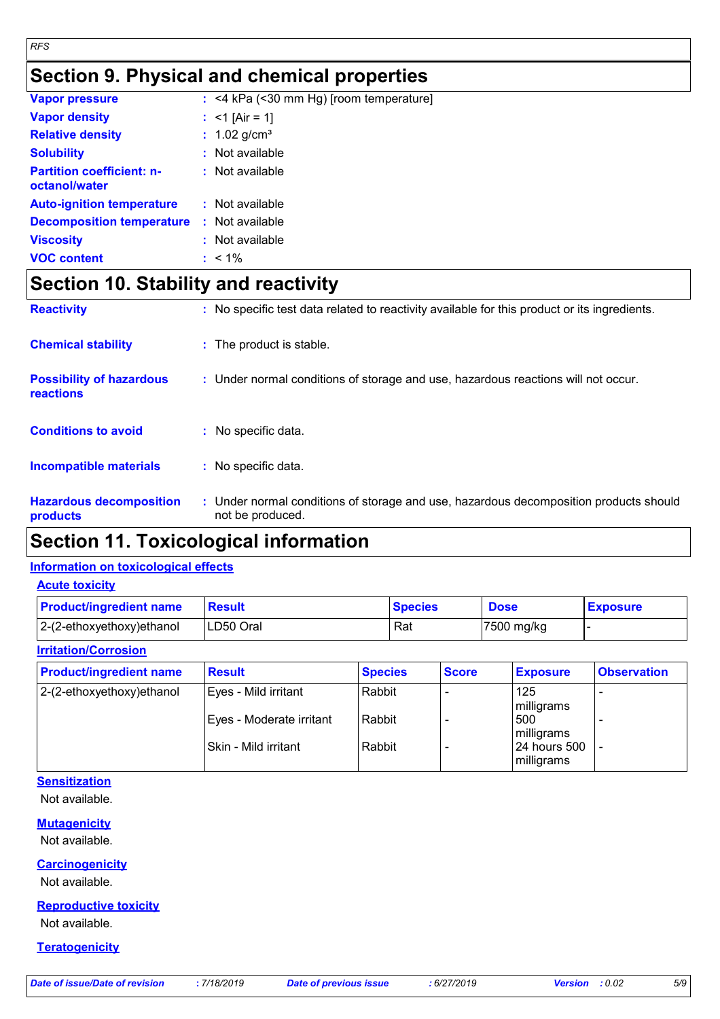# **Section 9. Physical and chemical properties**

| <b>Vapor pressure</b>                             | $:$ <4 kPa (<30 mm Hg) [room temperature] |
|---------------------------------------------------|-------------------------------------------|
| <b>Vapor density</b>                              | : $<$ 1 [Air = 1]                         |
| <b>Relative density</b>                           | : $1.02$ g/cm <sup>3</sup>                |
| <b>Solubility</b>                                 | $:$ Not available                         |
| <b>Partition coefficient: n-</b><br>octanol/water | $:$ Not available                         |
| <b>Auto-ignition temperature</b>                  | : Not available                           |
| <b>Decomposition temperature</b>                  | : Not available                           |
| <b>Viscosity</b>                                  | : Not available                           |
| <b>VOC content</b>                                | $: 1\%$                                   |

# **Section 10. Stability and reactivity**

| <b>Hazardous decomposition</b><br>products          | : Under normal conditions of storage and use, hazardous decomposition products should<br>not be produced. |
|-----------------------------------------------------|-----------------------------------------------------------------------------------------------------------|
| <b>Incompatible materials</b>                       | : No specific data.                                                                                       |
| <b>Conditions to avoid</b>                          | : No specific data.                                                                                       |
| <b>Possibility of hazardous</b><br><b>reactions</b> | : Under normal conditions of storage and use, hazardous reactions will not occur.                         |
| <b>Chemical stability</b>                           | : The product is stable.                                                                                  |
| <b>Reactivity</b>                                   | : No specific test data related to reactivity available for this product or its ingredients.              |

# **Section 11. Toxicological information**

### **Information on toxicological effects**

| <b>Acute toxicity</b> |
|-----------------------|
|-----------------------|

| <b>Product/ingredient name</b> | <b>Result</b> | <b>Species</b> | <b>Dose</b> | <b>Exposure</b> |
|--------------------------------|---------------|----------------|-------------|-----------------|
| 2-(2-ethoxyethoxy)ethanol      | LD50 Oral     | Rat            | 7500 mg/kg  |                 |

### **Irritation/Corrosion**

| <b>Product/ingredient name</b> | <b>Result</b>            | <b>Species</b> | <b>Score</b> | <b>Exposure</b>            | <b>Observation</b>       |
|--------------------------------|--------------------------|----------------|--------------|----------------------------|--------------------------|
| $ 2-(2-ethoxyethoxy)e$ thanol  | Eyes - Mild irritant     | Rabbit         |              | 125<br>milligrams          | $\overline{\phantom{0}}$ |
|                                | Eyes - Moderate irritant | Rabbit         |              | 500<br>milligrams          |                          |
|                                | l Skin - Mild irritant   | Rabbit         |              | 24 hours 500<br>milligrams |                          |

### **Sensitization**

Not available.

### **Mutagenicity**

Not available.

### **Carcinogenicity**

Not available.

### **Reproductive toxicity**

Not available.

### **Teratogenicity**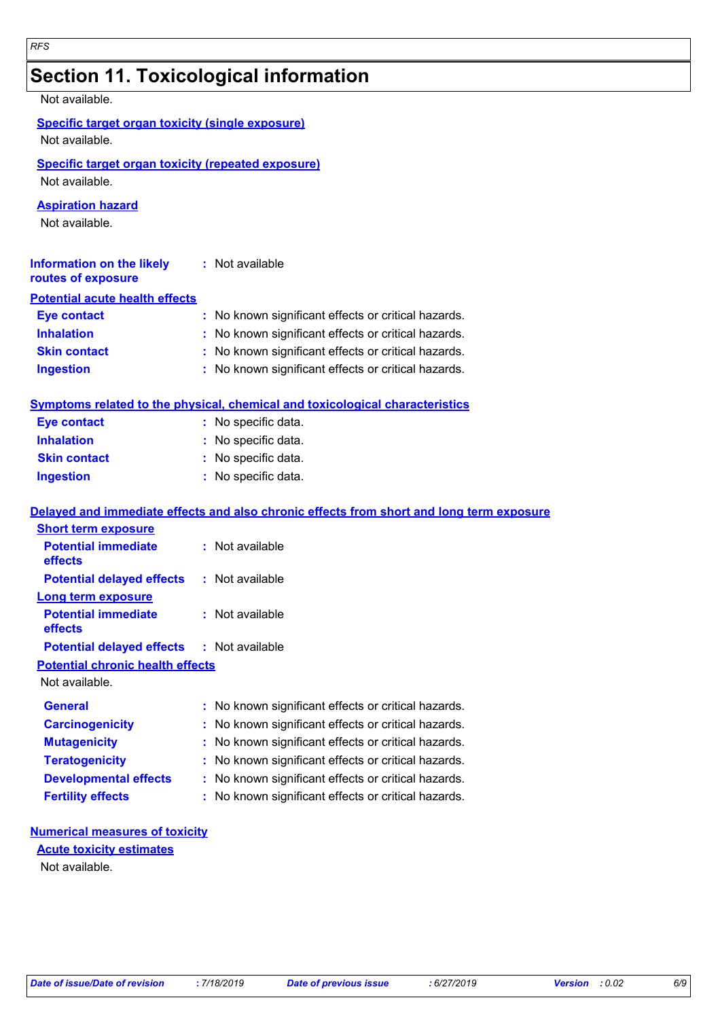# **Section 11. Toxicological information**

Not available.

|  |  | Specific target organ toxicity (single exposure) |
|--|--|--------------------------------------------------|
|  |  |                                                  |

Not available.

### **Specific target organ toxicity (repeated exposure)**

Not available.

### **Aspiration hazard**

Not available.

| <b>Information on the likely</b><br>routes of exposure | : Not available                                     |
|--------------------------------------------------------|-----------------------------------------------------|
| <b>Potential acute health effects</b>                  |                                                     |
| <b>Eye contact</b>                                     | : No known significant effects or critical hazards. |
| <b>Inhalation</b>                                      | : No known significant effects or critical hazards. |
| <b>Skin contact</b>                                    | : No known significant effects or critical hazards. |
| <b>Ingestion</b>                                       | : No known significant effects or critical hazards. |

### **Symptoms related to the physical, chemical and toxicological characteristics**

| <b>Eye contact</b>  | : No specific data. |
|---------------------|---------------------|
| <b>Inhalation</b>   | : No specific data. |
| <b>Skin contact</b> | : No specific data. |
| <b>Ingestion</b>    | : No specific data. |

### **Delayed and immediate effects and also chronic effects from short and long term exposure**

| <b>Short term exposure</b>                       |                                                     |
|--------------------------------------------------|-----------------------------------------------------|
| <b>Potential immediate</b><br>effects            | : Not available                                     |
| <b>Potential delayed effects</b>                 | : Not available                                     |
| Long term exposure                               |                                                     |
| <b>Potential immediate</b><br><b>effects</b>     | : Not available                                     |
| <b>Potential delayed effects : Not available</b> |                                                     |
| <b>Potential chronic health effects</b>          |                                                     |
| Not available.                                   |                                                     |
| General                                          | : No known significant effects or critical hazards. |
| <b>Carcinogenicity</b>                           | : No known significant effects or critical hazards. |
| <b>Mutagenicity</b>                              | : No known significant effects or critical hazards. |
| <b>Teratogenicity</b>                            | : No known significant effects or critical hazards. |
| <b>Developmental effects</b>                     | : No known significant effects or critical hazards. |
| <b>Fertility effects</b>                         | : No known significant effects or critical hazards. |

### **Numerical measures of toxicity**

### **Acute toxicity estimates**

Not available.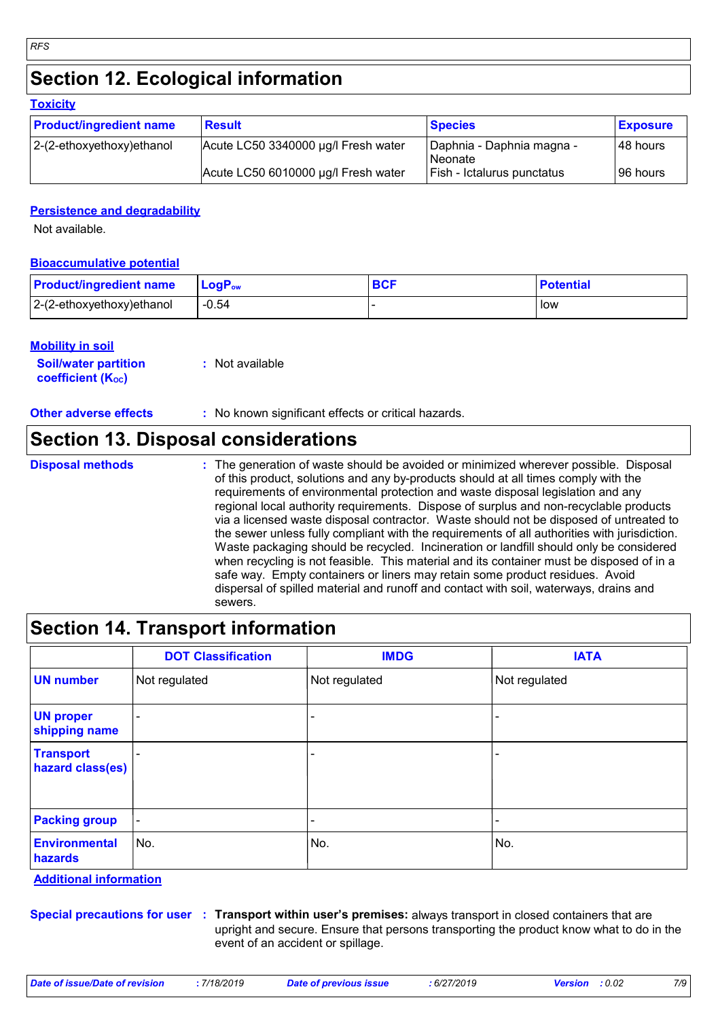# **Section 12. Ecological information**

| <b>LUAIGHY</b>                 |                                     |                                        |                 |  |  |  |  |
|--------------------------------|-------------------------------------|----------------------------------------|-----------------|--|--|--|--|
| <b>Product/ingredient name</b> | <b>Result</b>                       | <b>Species</b>                         | <b>Exposure</b> |  |  |  |  |
| $ 2-(2-ethoxyethoxy)e$ thanol  | Acute LC50 3340000 µg/l Fresh water | Daphnia - Daphnia magna -<br>l Neonate | 48 hours        |  |  |  |  |
|                                | Acute LC50 6010000 µg/l Fresh water | Fish - Ictalurus punctatus             | 96 hours        |  |  |  |  |

### **Persistence and degradability**

Not available.

*RFS*

**Toxicity**

### **Bioaccumulative potential**

| <b>Product/ingredient name</b> | $\mathsf{LogP}_\mathsf{ow}$ | <b>BCI</b> | <b>Potential</b> |
|--------------------------------|-----------------------------|------------|------------------|
| $2-(2-ethoxyethoxy)ethanol$    | $-0.54$                     |            | low              |

### **Mobility in soil**

| <b>Soil/water partition</b> | : Not available |
|-----------------------------|-----------------|
| <b>coefficient (Koc)</b>    |                 |

**Other adverse effects** : No known significant effects or critical hazards.

### **Section 13. Disposal considerations**

- **Disposal methods :**
- The generation of waste should be avoided or minimized wherever possible. Disposal of this product, solutions and any by-products should at all times comply with the requirements of environmental protection and waste disposal legislation and any regional local authority requirements. Dispose of surplus and non-recyclable products via a licensed waste disposal contractor. Waste should not be disposed of untreated to the sewer unless fully compliant with the requirements of all authorities with jurisdiction. Waste packaging should be recycled. Incineration or landfill should only be considered when recycling is not feasible. This material and its container must be disposed of in a safe way. Empty containers or liners may retain some product residues. Avoid dispersal of spilled material and runoff and contact with soil, waterways, drains and sewers.

## **Section 14. Transport information**

|                                      | <b>DOT Classification</b> | <b>IMDG</b>   | <b>IATA</b>              |
|--------------------------------------|---------------------------|---------------|--------------------------|
| <b>UN number</b>                     | Not regulated             | Not regulated | Not regulated            |
| <b>UN proper</b><br>shipping name    | $\overline{\phantom{0}}$  |               |                          |
| <b>Transport</b><br>hazard class(es) |                           |               |                          |
| <b>Packing group</b>                 | $\blacksquare$            | -             | $\overline{\phantom{0}}$ |
| <b>Environmental</b><br>hazards      | No.                       | No.           | No.                      |

**Additional information**

**Special precautions for user Transport within user's premises:** always transport in closed containers that are **:** upright and secure. Ensure that persons transporting the product know what to do in the event of an accident or spillage.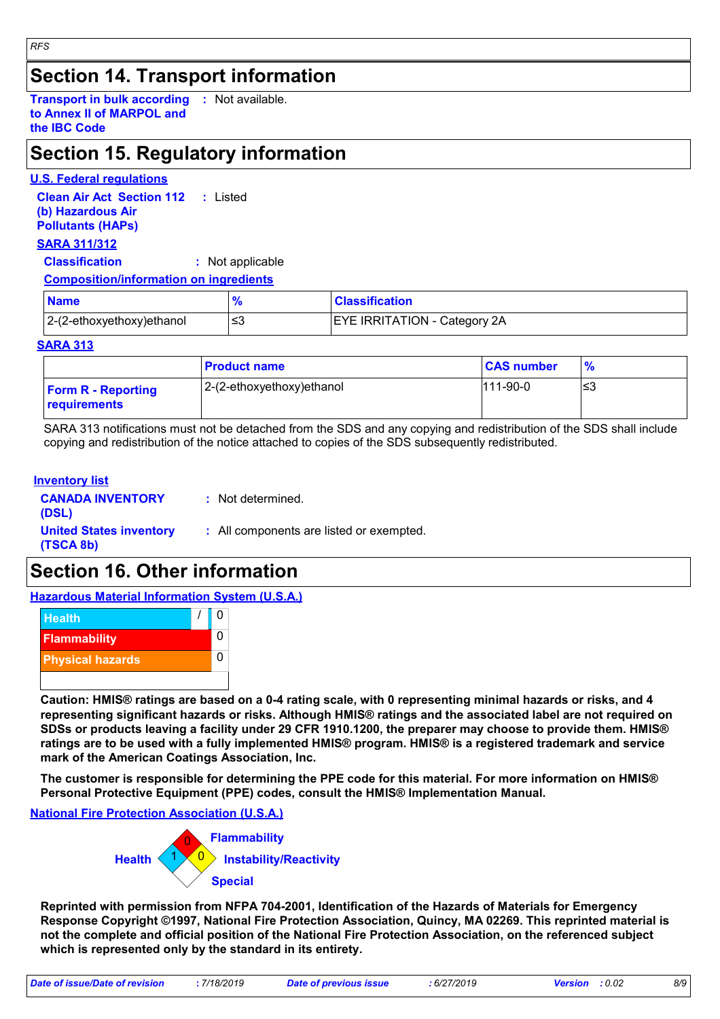### **Section 14. Transport information**

**Transport in bulk according :** Not available. **to Annex II of MARPOL and the IBC Code**

## **Section 15. Regulatory information**

### **U.S. Federal regulations**

**Clean Air Act Section 112 (b) Hazardous Air Pollutants (HAPs) :** Listed

### **SARA 311/312**

*RFS*

**Classification :** Not applicable

### **Composition/information on ingredients**

| <b>Name</b>               | $\mathbf{o}_{l}$ | <b>Classification</b>               |
|---------------------------|------------------|-------------------------------------|
| 2-(2-ethoxyethoxy)ethanol | ≃                | <b>EYE IRRITATION - Category 2A</b> |

### **SARA 313**

|                                           | <b>Product name</b>       | <b>CAS number</b> | $\frac{9}{6}$ |
|-------------------------------------------|---------------------------|-------------------|---------------|
| <b>Form R - Reporting</b><br>requirements | 2-(2-ethoxyethoxy)ethanol | $111-90-0$        | ≤3            |

SARA 313 notifications must not be detached from the SDS and any copying and redistribution of the SDS shall include copying and redistribution of the notice attached to copies of the SDS subsequently redistributed.

### **Inventory list**

| <b>CANADA INVENTORY</b><br>(DSL)            | : Not determined.                        |
|---------------------------------------------|------------------------------------------|
| <b>United States inventory</b><br>(TSCA 8b) | : All components are listed or exempted. |

## **Section 16. Other information**

**Hazardous Material Information System (U.S.A.)**



**Caution: HMIS® ratings are based on a 0-4 rating scale, with 0 representing minimal hazards or risks, and 4 representing significant hazards or risks. Although HMIS® ratings and the associated label are not required on SDSs or products leaving a facility under 29 CFR 1910.1200, the preparer may choose to provide them. HMIS® ratings are to be used with a fully implemented HMIS® program. HMIS® is a registered trademark and service mark of the American Coatings Association, Inc.**

**The customer is responsible for determining the PPE code for this material. For more information on HMIS® Personal Protective Equipment (PPE) codes, consult the HMIS® Implementation Manual.**

### **National Fire Protection Association (U.S.A.)**



**Reprinted with permission from NFPA 704-2001, Identification of the Hazards of Materials for Emergency Response Copyright ©1997, National Fire Protection Association, Quincy, MA 02269. This reprinted material is not the complete and official position of the National Fire Protection Association, on the referenced subject which is represented only by the standard in its entirety.**

*Date of issue/Date of revision* **:** *7/18/2019 Date of previous issue : 6/27/2019 Version : 0.02 8/9*